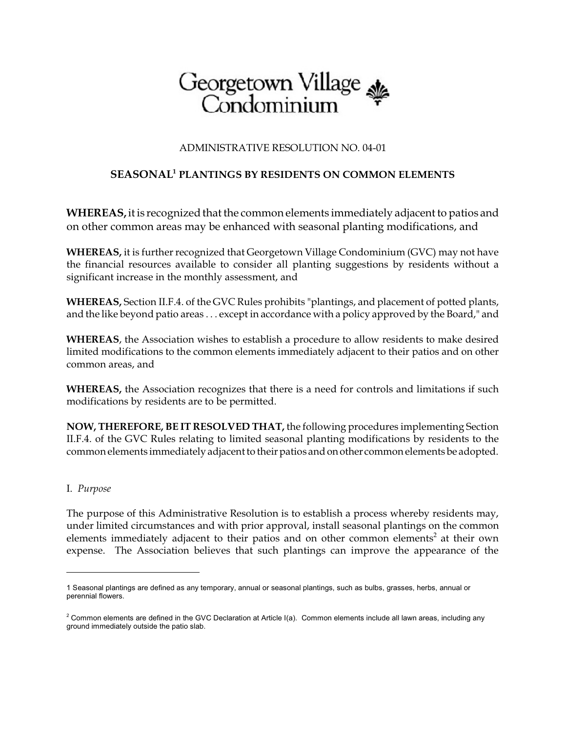# Georgetown Village<br>Condominium

## ADMINISTRATIVE RESOLUTION NO. 04-01

# **SEASONAL PLANTINGS BY RESIDENTS ON COMMON ELEMENTS <sup>1</sup>**

**WHEREAS,**it is recognized that the common elements immediately adjacent to patios and on other common areas may be enhanced with seasonal planting modifications, and

**WHEREAS,** it is further recognized that Georgetown Village Condominium (GVC) may not have the financial resources available to consider all planting suggestions by residents without a significant increase in the monthly assessment, and

**WHEREAS,** Section II.F.4. of the GVC Rules prohibits "plantings, and placement of potted plants, and the like beyond patio areas . . . except in accordance with a policy approved by the Board," and

**WHEREAS**, the Association wishes to establish a procedure to allow residents to make desired limited modifications to the common elements immediately adjacent to their patios and on other common areas, and

**WHEREAS,** the Association recognizes that there is a need for controls and limitations if such modifications by residents are to be permitted.

**NOW, THEREFORE, BE IT RESOLVED THAT,** the following procedures implementing Section II.F.4. of the GVC Rules relating to limited seasonal planting modifications by residents to the common elements immediately adjacent to their patios and on other commonelements be adopted.

### I. *Purpose*

The purpose of this Administrative Resolution is to establish a process whereby residents may, under limited circumstances and with prior approval, install seasonal plantings on the common elements immediately adjacent to their patios and on other common elements<sup>2</sup> at their own expense. The Association believes that such plantings can improve the appearance of the

<sup>1</sup> Seasonal plantings are defined as any temporary, annual or seasonal plantings, such as bulbs, grasses, herbs, annual or perennial flowers.

 $2$  Common elements are defined in the GVC Declaration at Article I(a). Common elements include all lawn areas, including any ground immediately outside the patio slab.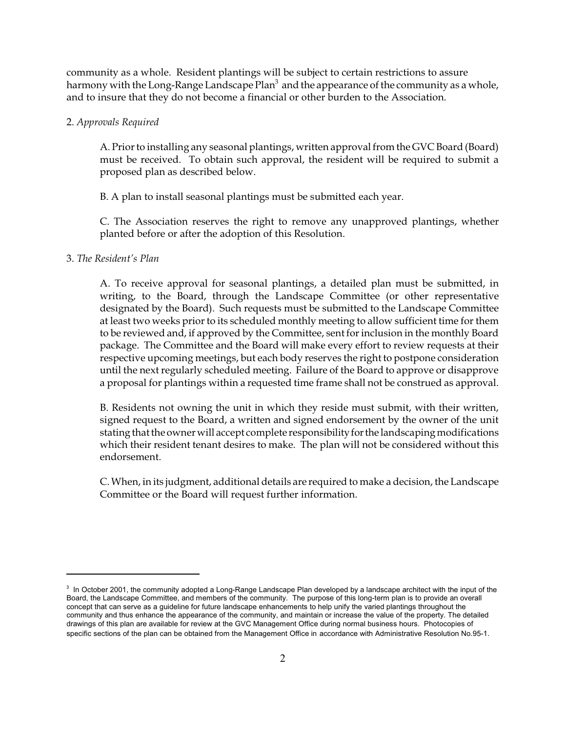community as a whole. Resident plantings will be subject to certain restrictions to assure harmony with the Long-Range Landscape Plan<sup>3</sup> and the appearance of the community as a whole, and to insure that they do not become a financial or other burden to the Association.

#### 2. *Approvals Required*

A. Prior to installing any seasonal plantings, written approval from the GVC Board (Board) must be received. To obtain such approval, the resident will be required to submit a proposed plan as described below.

B. A plan to install seasonal plantings must be submitted each year.

C. The Association reserves the right to remove any unapproved plantings, whether planted before or after the adoption of this Resolution.

#### 3. *The Resident's Plan*

A. To receive approval for seasonal plantings, a detailed plan must be submitted, in writing, to the Board, through the Landscape Committee (or other representative designated by the Board). Such requests must be submitted to the Landscape Committee at least two weeks prior to its scheduled monthly meeting to allow sufficient time for them to be reviewed and, if approved by the Committee, sent for inclusion in the monthly Board package. The Committee and the Board will make every effort to review requests at their respective upcoming meetings, but each body reserves the right to postpone consideration until the next regularly scheduled meeting. Failure of the Board to approve or disapprove a proposal for plantings within a requested time frame shall not be construed as approval.

B. Residents not owning the unit in which they reside must submit, with their written, signed request to the Board, a written and signed endorsement by the owner of the unit stating that the owner will accept complete responsibility for the landscaping modifications which their resident tenant desires to make. The plan will not be considered without this endorsement.

C. When, in its judgment, additional details are required to make a decision, the Landscape Committee or the Board will request further information.

 $3$  In October 2001, the community adopted a Long-Range Landscape Plan developed by a landscape architect with the input of the Board, the Landscape Committee, and members of the community. The purpose of this long-term plan is to provide an overall concept that can serve as a guideline for future landscape enhancements to help unify the varied plantings throughout the community and thus enhance the appearance of the community, and maintain or increase the value of the property. The detailed drawings of this plan are available for review at the GVC Management Office during normal business hours. Photocopies of specific sections of the plan can be obtained from the Management Office in accordance with Administrative Resolution No.95-1.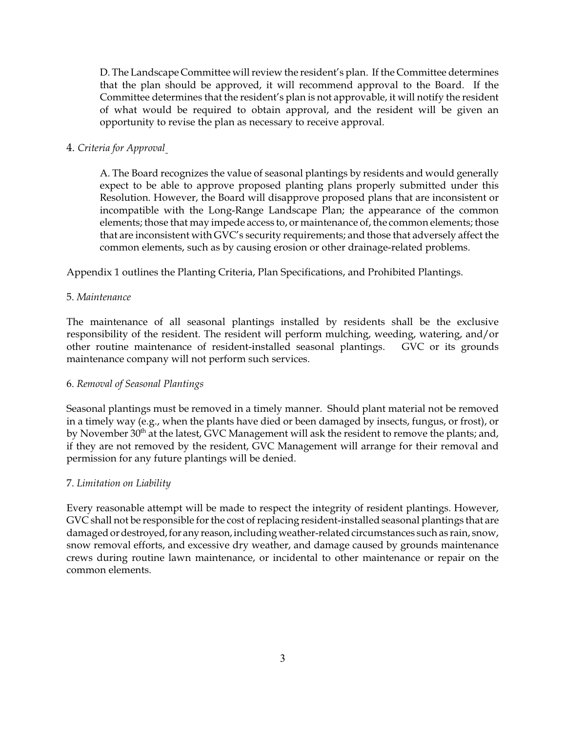D. The Landscape Committee will review the resident's plan. If the Committee determines that the plan should be approved, it will recommend approval to the Board. If the Committee determines that the resident's plan is not approvable, it will notify the resident of what would be required to obtain approval, and the resident will be given an opportunity to revise the plan as necessary to receive approval.

## 4. *Criteria for Approval*

A. The Board recognizes the value of seasonal plantings by residents and would generally expect to be able to approve proposed planting plans properly submitted under this Resolution. However, the Board will disapprove proposed plans that are inconsistent or incompatible with the Long-Range Landscape Plan; the appearance of the common elements; those that may impede access to, or maintenance of, the common elements; those that are inconsistent with GVC's security requirements; and those that adversely affect the common elements, such as by causing erosion or other drainage-related problems.

Appendix 1 outlines the Planting Criteria, Plan Specifications, and Prohibited Plantings.

## 5. *Maintenance*

The maintenance of all seasonal plantings installed by residents shall be the exclusive responsibility of the resident. The resident will perform mulching, weeding, watering, and/or other routine maintenance of resident-installed seasonal plantings. GVC or its grounds maintenance company will not perform such services.

### 6. *Removal of Seasonal Plantings*

Seasonal plantings must be removed in a timely manner. Should plant material not be removed in a timely way (e.g., when the plants have died or been damaged by insects, fungus, or frost), or by November 30<sup>th</sup> at the latest, GVC Management will ask the resident to remove the plants; and, if they are not removed by the resident, GVC Management will arrange for their removal and permission for any future plantings will be denied.

### 7. *Limitation on Liability*

Every reasonable attempt will be made to respect the integrity of resident plantings. However, GVC shall not be responsible for the cost of replacing resident-installed seasonal plantings that are damaged or destroyed, for any reason, including weather-related circumstances such as rain, snow, snow removal efforts, and excessive dry weather, and damage caused by grounds maintenance crews during routine lawn maintenance, or incidental to other maintenance or repair on the common elements.